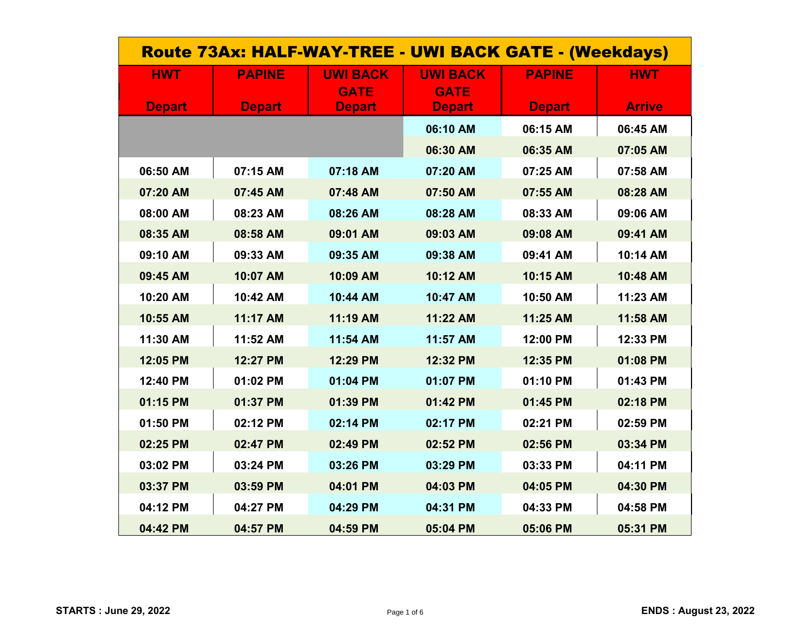| Route 73Ax: HALF-WAY-TREE - UWI BACK GATE - (Weekdays) |               |                                |                                |               |               |  |
|--------------------------------------------------------|---------------|--------------------------------|--------------------------------|---------------|---------------|--|
| <b>HWT</b>                                             | <b>PAPINE</b> | <b>UWI BACK</b><br><b>GATE</b> | <b>UWI BACK</b><br><b>GATE</b> | <b>PAPINE</b> | <b>HWT</b>    |  |
| <b>Depart</b>                                          | <b>Depart</b> | <b>Depart</b>                  | <b>Depart</b>                  | <b>Depart</b> | <b>Arrive</b> |  |
|                                                        |               |                                | 06:10 AM                       | 06:15 AM      | 06:45 AM      |  |
|                                                        |               |                                | 06:30 AM                       | 06:35 AM      | 07:05 AM      |  |
| 06:50 AM                                               | 07:15 AM      | 07:18 AM                       | 07:20 AM                       | 07:25 AM      | 07:58 AM      |  |
| 07:20 AM                                               | 07:45 AM      | 07:48 AM                       | 07:50 AM                       | 07:55 AM      | 08:28 AM      |  |
| 08:00 AM                                               | 08:23 AM      | 08:26 AM                       | 08:28 AM                       | 08:33 AM      | 09:06 AM      |  |
| 08:35 AM                                               | 08:58 AM      | 09:01 AM                       | 09:03 AM                       | 09:08 AM      | 09:41 AM      |  |
| 09:10 AM                                               | 09:33 AM      | 09:35 AM                       | 09:38 AM                       | 09:41 AM      | 10:14 AM      |  |
| 09:45 AM                                               | 10:07 AM      | 10:09 AM                       | 10:12 AM                       | 10:15 AM      | 10:48 AM      |  |
| 10:20 AM                                               | 10:42 AM      | 10:44 AM                       | 10:47 AM                       | 10:50 AM      | 11:23 AM      |  |
| 10:55 AM                                               | 11:17 AM      | 11:19 AM                       | 11:22 AM                       | 11:25 AM      | 11:58 AM      |  |
| 11:30 AM                                               | 11:52 AM      | 11:54 AM                       | 11:57 AM                       | 12:00 PM      | 12:33 PM      |  |
| 12:05 PM                                               | 12:27 PM      | 12:29 PM                       | 12:32 PM                       | 12:35 PM      | 01:08 PM      |  |
| 12:40 PM                                               | 01:02 PM      | 01:04 PM                       | 01:07 PM                       | 01:10 PM      | 01:43 PM      |  |
| 01:15 PM                                               | 01:37 PM      | 01:39 PM                       | 01:42 PM                       | 01:45 PM      | 02:18 PM      |  |
| 01:50 PM                                               | 02:12 PM      | 02:14 PM                       | 02:17 PM                       | 02:21 PM      | 02:59 PM      |  |
| 02:25 PM                                               | 02:47 PM      | 02:49 PM                       | 02:52 PM                       | 02:56 PM      | 03:34 PM      |  |
| 03:02 PM                                               | 03:24 PM      | 03:26 PM                       | 03:29 PM                       | 03:33 PM      | 04:11 PM      |  |
| 03:37 PM                                               | 03:59 PM      | 04:01 PM                       | 04:03 PM                       | 04:05 PM      | 04:30 PM      |  |
| 04:12 PM                                               | 04:27 PM      | 04:29 PM                       | 04:31 PM                       | 04:33 PM      | 04:58 PM      |  |
| 04:42 PM                                               | 04:57 PM      | 04:59 PM                       | 05:04 PM                       | 05:06 PM      | 05:31 PM      |  |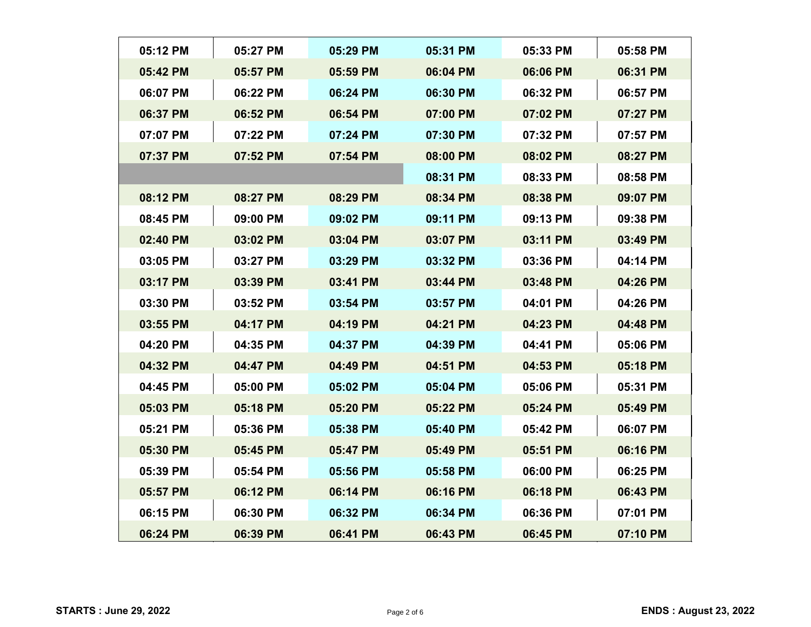|          | 05:12 PM | 05:27 PM | 05:29 PM | 05:31 PM | 05:33 PM | 05:58 PM |
|----------|----------|----------|----------|----------|----------|----------|
| 05:42 PM |          | 05:57 PM | 05:59 PM | 06:04 PM | 06:06 PM | 06:31 PM |
|          | 06:07 PM | 06:22 PM | 06:24 PM | 06:30 PM | 06:32 PM | 06:57 PM |
|          | 06:37 PM | 06:52 PM | 06:54 PM | 07:00 PM | 07:02 PM | 07:27 PM |
|          | 07:07 PM | 07:22 PM | 07:24 PM | 07:30 PM | 07:32 PM | 07:57 PM |
|          | 07:37 PM | 07:52 PM | 07:54 PM | 08:00 PM | 08:02 PM | 08:27 PM |
|          |          |          |          | 08:31 PM | 08:33 PM | 08:58 PM |
|          | 08:12 PM | 08:27 PM | 08:29 PM | 08:34 PM | 08:38 PM | 09:07 PM |
| 08:45 PM |          | 09:00 PM | 09:02 PM | 09:11 PM | 09:13 PM | 09:38 PM |
| 02:40 PM |          | 03:02 PM | 03:04 PM | 03:07 PM | 03:11 PM | 03:49 PM |
| 03:05 PM |          | 03:27 PM | 03:29 PM | 03:32 PM | 03:36 PM | 04:14 PM |
|          | 03:17 PM | 03:39 PM | 03:41 PM | 03:44 PM | 03:48 PM | 04:26 PM |
|          | 03:30 PM | 03:52 PM | 03:54 PM | 03:57 PM | 04:01 PM | 04:26 PM |
| 03:55 PM |          | 04:17 PM | 04:19 PM | 04:21 PM | 04:23 PM | 04:48 PM |
|          | 04:20 PM | 04:35 PM | 04:37 PM | 04:39 PM | 04:41 PM | 05:06 PM |
| 04:32 PM |          | 04:47 PM | 04:49 PM | 04:51 PM | 04:53 PM | 05:18 PM |
|          | 04:45 PM | 05:00 PM | 05:02 PM | 05:04 PM | 05:06 PM | 05:31 PM |
|          | 05:03 PM | 05:18 PM | 05:20 PM | 05:22 PM | 05:24 PM | 05:49 PM |
|          | 05:21 PM | 05:36 PM | 05:38 PM | 05:40 PM | 05:42 PM | 06:07 PM |
| 05:30 PM |          | 05:45 PM | 05:47 PM | 05:49 PM | 05:51 PM | 06:16 PM |
| 05:39 PM |          | 05:54 PM | 05:56 PM | 05:58 PM | 06:00 PM | 06:25 PM |
|          | 05:57 PM | 06:12 PM | 06:14 PM | 06:16 PM | 06:18 PM | 06:43 PM |
|          | 06:15 PM | 06:30 PM | 06:32 PM | 06:34 PM | 06:36 PM | 07:01 PM |
|          | 06:24 PM | 06:39 PM | 06:41 PM | 06:43 PM | 06:45 PM | 07:10 PM |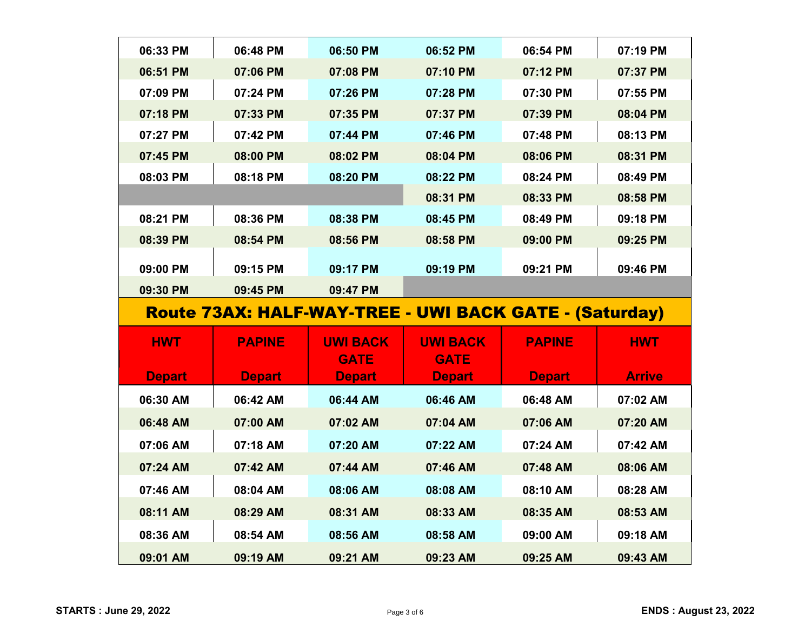| 06:33 PM      | 06:48 PM      | 06:50 PM        | 06:52 PM                                               | 06:54 PM      | 07:19 PM      |
|---------------|---------------|-----------------|--------------------------------------------------------|---------------|---------------|
| 06:51 PM      | 07:06 PM      | 07:08 PM        | 07:10 PM                                               | 07:12 PM      | 07:37 PM      |
| 07:09 PM      | 07:24 PM      | 07:26 PM        | 07:28 PM                                               | 07:30 PM      | 07:55 PM      |
| 07:18 PM      | 07:33 PM      | 07:35 PM        | 07:37 PM                                               | 07:39 PM      | 08:04 PM      |
| 07:27 PM      | 07:42 PM      | 07:44 PM        | 07:46 PM                                               | 07:48 PM      | 08:13 PM      |
| 07:45 PM      | 08:00 PM      | 08:02 PM        | 08:04 PM                                               | 08:06 PM      | 08:31 PM      |
| 08:03 PM      | 08:18 PM      | 08:20 PM        | 08:22 PM                                               | 08:24 PM      | 08:49 PM      |
|               |               |                 | 08:31 PM                                               | 08:33 PM      | 08:58 PM      |
| 08:21 PM      | 08:36 PM      | 08:38 PM        | 08:45 PM                                               | 08:49 PM      | 09:18 PM      |
| 08:39 PM      | 08:54 PM      | 08:56 PM        | 08:58 PM                                               | 09:00 PM      | 09:25 PM      |
| 09:00 PM      | 09:15 PM      | 09:17 PM        | 09:19 PM                                               | 09:21 PM      | 09:46 PM      |
|               |               | 09:47 PM        |                                                        |               |               |
| 09:30 PM      | 09:45 PM      |                 |                                                        |               |               |
|               |               |                 | Route 73AX: HALF-WAY-TREE - UWI BACK GATE - (Saturday) |               |               |
| <b>HWT</b>    | <b>PAPINE</b> | <b>UWI BACK</b> | <b>UWI BACK</b>                                        | <b>PAPINE</b> | <b>HWT</b>    |
|               |               | <b>GATE</b>     | <b>GATE</b>                                            |               |               |
| <b>Depart</b> | <b>Depart</b> | <b>Depart</b>   | <b>Depart</b>                                          | <b>Depart</b> | <b>Arrive</b> |
| 06:30 AM      | 06:42 AM      | 06:44 AM        | 06:46 AM                                               | 06:48 AM      | 07:02 AM      |
| 06:48 AM      | 07:00 AM      | 07:02 AM        | 07:04 AM                                               | 07:06 AM      | 07:20 AM      |
| 07:06 AM      | 07:18 AM      | 07:20 AM        | 07:22 AM                                               | 07:24 AM      | 07:42 AM      |
| 07:24 AM      | 07:42 AM      | 07:44 AM        | 07:46 AM                                               | 07:48 AM      | 08:06 AM      |
| 07:46 AM      | 08:04 AM      | 08:06 AM        | 08:08 AM                                               | 08:10 AM      | 08:28 AM      |
| 08:11 AM      | 08:29 AM      | 08:31 AM        | 08:33 AM                                               | 08:35 AM      | 08:53 AM      |
| 08:36 AM      | 08:54 AM      | 08:56 AM        | 08:58 AM                                               | 09:00 AM      | 09:18 AM      |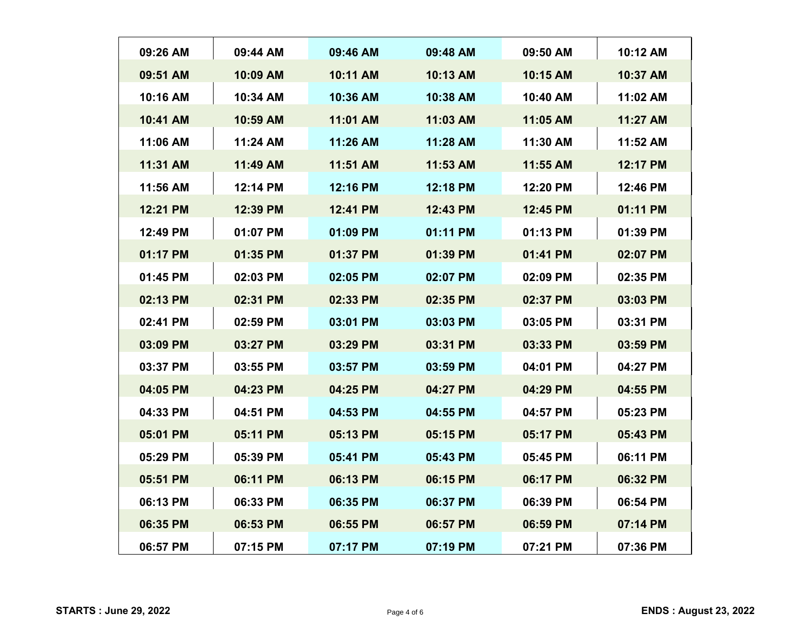| 09:26 AM | 09:44 AM | 09:46 AM | 09:48 AM | 09:50 AM | 10:12 AM |
|----------|----------|----------|----------|----------|----------|
| 09:51 AM | 10:09 AM | 10:11 AM | 10:13 AM | 10:15 AM | 10:37 AM |
| 10:16 AM | 10:34 AM | 10:36 AM | 10:38 AM | 10:40 AM | 11:02 AM |
| 10:41 AM | 10:59 AM | 11:01 AM | 11:03 AM | 11:05 AM | 11:27 AM |
| 11:06 AM | 11:24 AM | 11:26 AM | 11:28 AM | 11:30 AM | 11:52 AM |
| 11:31 AM | 11:49 AM | 11:51 AM | 11:53 AM | 11:55 AM | 12:17 PM |
| 11:56 AM | 12:14 PM | 12:16 PM | 12:18 PM | 12:20 PM | 12:46 PM |
| 12:21 PM | 12:39 PM | 12:41 PM | 12:43 PM | 12:45 PM | 01:11 PM |
| 12:49 PM | 01:07 PM | 01:09 PM | 01:11 PM | 01:13 PM | 01:39 PM |
| 01:17 PM | 01:35 PM | 01:37 PM | 01:39 PM | 01:41 PM | 02:07 PM |
| 01:45 PM | 02:03 PM | 02:05 PM | 02:07 PM | 02:09 PM | 02:35 PM |
| 02:13 PM | 02:31 PM | 02:33 PM | 02:35 PM | 02:37 PM | 03:03 PM |
| 02:41 PM | 02:59 PM | 03:01 PM | 03:03 PM | 03:05 PM | 03:31 PM |
| 03:09 PM | 03:27 PM | 03:29 PM | 03:31 PM | 03:33 PM | 03:59 PM |
| 03:37 PM | 03:55 PM | 03:57 PM | 03:59 PM | 04:01 PM | 04:27 PM |
| 04:05 PM | 04:23 PM | 04:25 PM | 04:27 PM | 04:29 PM | 04:55 PM |
| 04:33 PM | 04:51 PM | 04:53 PM | 04:55 PM | 04:57 PM | 05:23 PM |
| 05:01 PM | 05:11 PM | 05:13 PM | 05:15 PM | 05:17 PM | 05:43 PM |
| 05:29 PM | 05:39 PM | 05:41 PM | 05:43 PM | 05:45 PM | 06:11 PM |
| 05:51 PM | 06:11 PM | 06:13 PM | 06:15 PM | 06:17 PM | 06:32 PM |
| 06:13 PM | 06:33 PM | 06:35 PM | 06:37 PM | 06:39 PM | 06:54 PM |
| 06:35 PM | 06:53 PM | 06:55 PM | 06:57 PM | 06:59 PM | 07:14 PM |
| 06:57 PM | 07:15 PM | 07:17 PM | 07:19 PM | 07:21 PM | 07:36 PM |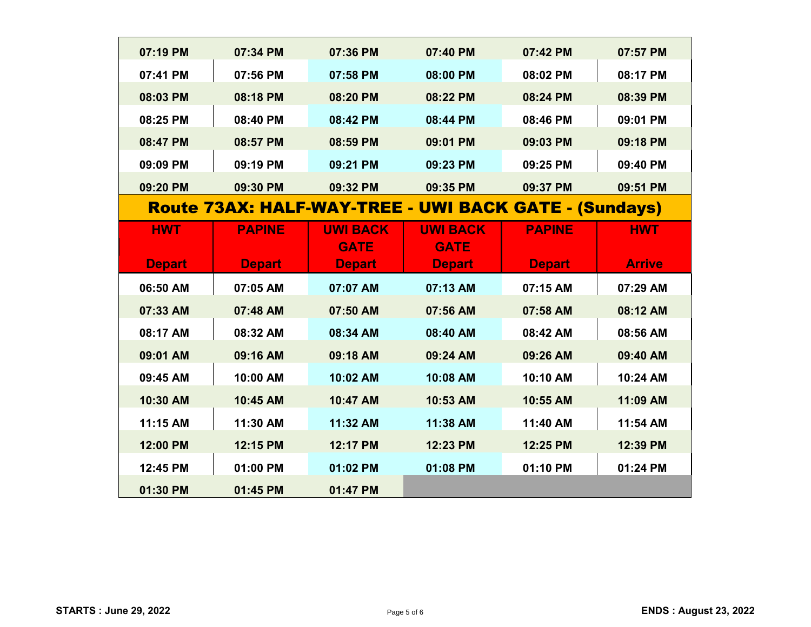| 07:19 PM      | 07:34 PM      | 07:36 PM        | 07:40 PM                                              | 07:42 PM      | 07:57 PM      |
|---------------|---------------|-----------------|-------------------------------------------------------|---------------|---------------|
| 07:41 PM      | 07:56 PM      | 07:58 PM        | 08:00 PM                                              | 08:02 PM      | 08:17 PM      |
| 08:03 PM      | 08:18 PM      | 08:20 PM        | 08:22 PM                                              | 08:24 PM      | 08:39 PM      |
| 08:25 PM      | 08:40 PM      | 08:42 PM        | 08:44 PM                                              | 08:46 PM      | 09:01 PM      |
| 08:47 PM      | 08:57 PM      | 08:59 PM        | 09:01 PM                                              | 09:03 PM      | 09:18 PM      |
| 09:09 PM      | 09:19 PM      | 09:21 PM        | 09:23 PM                                              | 09:25 PM      | 09:40 PM      |
| 09:20 PM      | 09:30 PM      | 09:32 PM        | 09:35 PM                                              | 09:37 PM      | 09:51 PM      |
|               |               |                 | Route 73AX: HALF-WAY-TREE - UWI BACK GATE - (Sundays) |               |               |
| <b>HWT</b>    | <b>PAPINE</b> | <b>UWI BACK</b> | <b>UWI BACK</b>                                       | <b>PAPINE</b> | <b>HWT</b>    |
|               |               | <b>GATE</b>     | <b>GATE</b>                                           |               |               |
| <b>Depart</b> | <b>Depart</b> | <b>Depart</b>   | <b>Depart</b>                                         | <b>Depart</b> | <b>Arrive</b> |
| 06:50 AM      | 07:05 AM      | 07:07 AM        | 07:13 AM                                              | 07:15 AM      | 07:29 AM      |
| 07:33 AM      | 07:48 AM      | 07:50 AM        | 07:56 AM                                              | 07:58 AM      | 08:12 AM      |
| 08:17 AM      | 08:32 AM      | 08:34 AM        | 08:40 AM                                              | 08:42 AM      | 08:56 AM      |
| 09:01 AM      | 09:16 AM      | 09:18 AM        | 09:24 AM                                              | 09:26 AM      | 09:40 AM      |
| 09:45 AM      | 10:00 AM      | 10:02 AM        | 10:08 AM                                              | 10:10 AM      | 10:24 AM      |
| 10:30 AM      | 10:45 AM      | 10:47 AM        | 10:53 AM                                              | 10:55 AM      | 11:09 AM      |
| 11:15 AM      | 11:30 AM      | 11:32 AM        | 11:38 AM                                              | 11:40 AM      | 11:54 AM      |
| 12:00 PM      | 12:15 PM      | 12:17 PM        | 12:23 PM                                              | 12:25 PM      | 12:39 PM      |
| 12:45 PM      | 01:00 PM      | 01:02 PM        | 01:08 PM                                              | 01:10 PM      | 01:24 PM      |
| 01:30 PM      | 01:45 PM      | 01:47 PM        |                                                       |               |               |